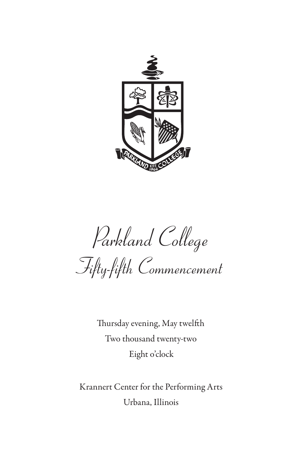

*Parkland College Fifty-fifth Commencement*

Thursday evening, May twelfth Two thousand twenty-two Eight o'clock

Krannert Center for the Performing Arts Urbana, Illinois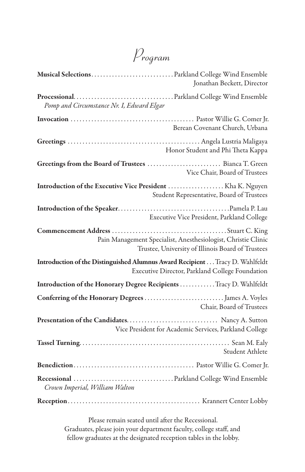*Program*

|                                           | Jonathan Beckett, Director                                                                                                      |
|-------------------------------------------|---------------------------------------------------------------------------------------------------------------------------------|
| Pomp and Circumstance Nr. I, Edward Elgar |                                                                                                                                 |
|                                           | Berean Covenant Church, Urbana                                                                                                  |
|                                           | Honor Student and Phi Theta Kappa                                                                                               |
|                                           | Vice Chair, Board of Trustees                                                                                                   |
|                                           | Student Representative, Board of Trustees                                                                                       |
|                                           | Executive Vice President, Parkland College                                                                                      |
|                                           | Pain Management Specialist, Anesthesiologist, Christie Clinic<br>Trustee, University of Illinois Board of Trustees              |
|                                           | Introduction of the Distinguished Alumnus Award Recipient Tracy D. Wahlfeldt<br>Executive Director, Parkland College Foundation |
|                                           | Introduction of the Honorary Degree Recipients Tracy D. Wahlfeldt                                                               |
|                                           | Chair, Board of Trustees                                                                                                        |
|                                           | Vice President for Academic Services, Parkland College                                                                          |
|                                           | Student Athlete                                                                                                                 |
|                                           |                                                                                                                                 |
| Crown Imperial, William Walton            |                                                                                                                                 |
|                                           |                                                                                                                                 |

Please remain seated until after the Recessional. Graduates, please join your department faculty, college staff, and fellow graduates at the designated reception tables in the lobby.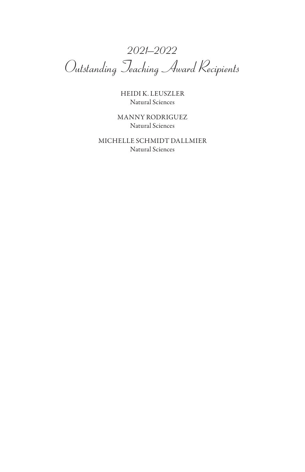*2021–2022 Outstanding Teaching Award Recipients*

HEIDI K. LEUSZLER Natural Sciences

MANNY RODRIGUEZ Natural Sciences

MICHELLE SCHMIDT DALLMIER Natural Sciences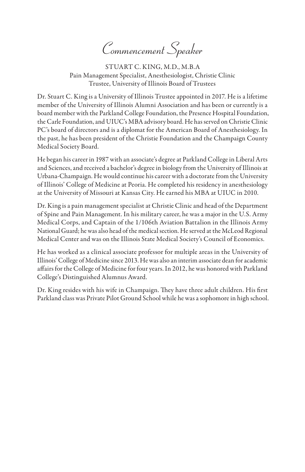*Commencement Speaker*

STUART C. KING, M.D., M.B.A Pain Management Specialist, Anesthesiologist, Christie Clinic Trustee, University of Illinois Board of Trustees

Dr. Stuart C. King is a University of Illinois Trustee appointed in 2017. He is a lifetime member of the University of Illinois Alumni Association and has been or currently is a board member with the Parkland College Foundation, the Presence Hospital Foundation, the Carle Foundation, and UIUC's MBA advisory board. He has served on Christie Clinic PC's board of directors and is a diplomat for the American Board of Anesthesiology. In the past, he has been president of the Christie Foundation and the Champaign County Medical Society Board.

He began his career in 1987 with an associate's degree at Parkland College in Liberal Arts and Sciences, and received a bachelor's degree in biology from the University of Illinois at Urbana-Champaign. He would continue his career with a doctorate from the University of Illinois' College of Medicine at Peoria. He completed his residency in anesthesiology at the University of Missouri at Kansas City. He earned his MBA at UIUC in 2010.

Dr. King is a pain management specialist at Christie Clinic and head of the Department of Spine and Pain Management. In his military career, he was a major in the U.S. Army Medical Corps, and Captain of the 1/106th Aviation Battalion in the Illinois Army National Guard; he was also head of the medical section. He served at the McLeod Regional Medical Center and was on the Illinois State Medical Society's Council of Economics.

He has worked as a clinical associate professor for multiple areas in the University of Illinois' College of Medicine since 2013. He was also an interim associate dean for academic affairs for the College of Medicine for four years. In 2012, he was honored with Parkland College's Distinguished Alumnus Award.

Dr. King resides with his wife in Champaign. They have three adult children. His first Parkland class was Private Pilot Ground School while he was a sophomore in high school.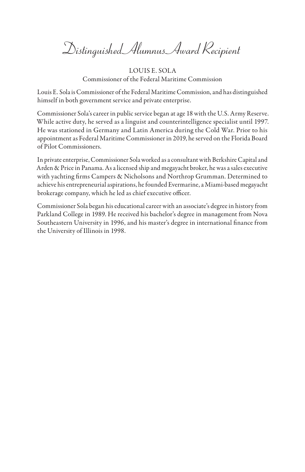*Distinguished Alumnus Award Recipient*

LOUIS E. SOLA Commissioner of the Federal Maritime Commission

Louis E. Sola is Commissioner of the Federal Maritime Commission, and has distinguished himself in both government service and private enterprise.

Commissioner Sola's career in public service began at age 18 with the U.S. Army Reserve. While active duty, he served as a linguist and counterintelligence specialist until 1997. He was stationed in Germany and Latin America during the Cold War. Prior to his appointment as Federal Maritime Commissioner in 2019, he served on the Florida Board of Pilot Commissioners.

In private enterprise, Commissioner Sola worked as a consultant with Berkshire Capital and Arden & Price in Panama. As a licensed ship and megayacht broker, he was a sales executive with yachting firms Campers & Nicholsons and Northrop Grumman. Determined to achieve his entrepreneurial aspirations, he founded Evermarine, a Miami-based megayacht brokerage company, which he led as chief executive officer.

Commissioner Sola began his educational career with an associate's degree in history from Parkland College in 1989. He received his bachelor's degree in management from Nova Southeastern University in 1996, and his master's degree in international finance from the University of Illinois in 1998.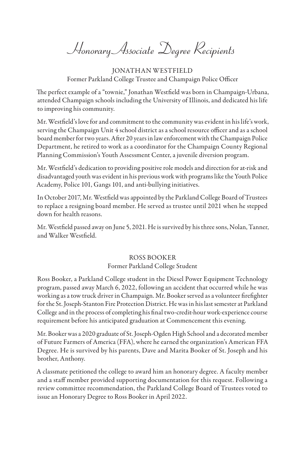*Honorary Associate Degree Recipients*

JONATHAN WESTFIELD Former Parkland College Trustee and Champaign Police Officer

The perfect example of a "townie," Jonathan Westfield was born in Champaign-Urbana, attended Champaign schools including the University of Illinois, and dedicated his life to improving his community.

Mr. Westfield's love for and commitment to the community was evident in his life's work, serving the Champaign Unit 4 school district as a school resource officer and as a school board member for two years. After 20 years in law enforcement with the Champaign Police Department, he retired to work as a coordinator for the Champaign County Regional Planning Commission's Youth Assessment Center, a juvenile diversion program.

Mr. Westfield's dedication to providing positive role models and direction for at-risk and disadvantaged youth was evident in his previous work with programs like the Youth Police Academy, Police 101, Gangs 101, and anti-bullying initiatives.

In October 2017, Mr. Westfield was appointed by the Parkland College Board of Trustees to replace a resigning board member. He served as trustee until 2021 when he stepped down for health reasons.

Mr. Westfield passed away on June 5, 2021. He is survived by his three sons, Nolan, Tanner, and Walker Westfield.

## ROSS BOOKER Former Parkland College Student

Ross Booker, a Parkland College student in the Diesel Power Equipment Technology program, passed away March 6, 2022, following an accident that occurred while he was working as a tow truck driver in Champaign. Mr. Booker served as a volunteer firefighter for the St. Joseph-Stanton Fire Protection District. He was in his last semester at Parkland College and in the process of completing his final two-credit-hour work-experience course requirement before his anticipated graduation at Commencement this evening.

Mr. Booker was a 2020 graduate of St. Joseph-Ogden High School and a decorated member of Future Farmers of America (FFA), where he earned the organization's American FFA Degree. He is survived by his parents, Dave and Marita Booker of St. Joseph and his brother, Anthony.

A classmate petitioned the college to award him an honorary degree. A faculty member and a staff member provided supporting documentation for this request. Following a review committee recommendation, the Parkland College Board of Trustees voted to issue an Honorary Degree to Ross Booker in April 2022.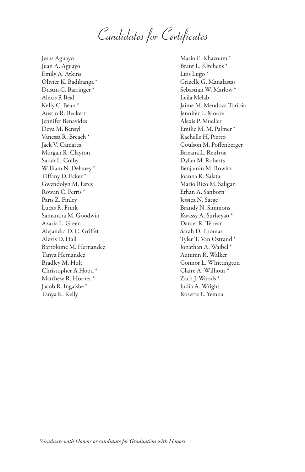*Candidates for Certificates*

Jesus Aguayo Juan A. Aguayo Emily A. Atkins Olivier K. Badibanga \* Dustin C. Barringer \* Alexis R Beal Kelly C. Bean \* Austin R. Beckett Jennifer Benavides Deva M. Bensyl Vanessa R. Breach \* Jack V. Camarca Morgan R. Clayton Sarah L. Colby William N. Delaney \* Tiffany D. Ecker \* Gwendolyn M. Estes Rowan C. Ferris \* Paris Z. Finley Lucas R. Frink Samantha M. Goodwin Azaria L. Green Alejandra D. C. Griffet Alexis D. Hall Bartolome M. Hernandez Tanya Hernandez Bradley M. Holt Christopher A Hood \* Matthew R. Horner \* Jacob R. Ingalsbe \* Tanya K. Kelly

Mario E. Khazoum \* Brant L. Kitchens \* Luis Lugo<sup>\*</sup> Grizelle G. Manalastas Sebastian W. Marlow \* Leila Melab Jaime M. Mendoza Toribio Jennifer L. Moore Alexis P. Mueller Emilie M. M. Palmer \* Rachelle H. Pierro Coulson M. Poffenberger Brieana L. Renfroe Dylan M. Roberts Benjamin M. Rowitz Joanna K. Salata Mario Rico M. Saligan Ethan A. Sanborn Jessica N. Sarge Brandy N. Simmons Kwassy A. Surheyao \* Daniel R. Tebear Sarah D. Thomas Tyler T. Van Ostrand \* Jonathan A. Waibel \* Autumn R. Walker Connor L. Whittington Claire A. Wilhour \* Zach J. Woods \* India A. Wright Rosette E. Yemba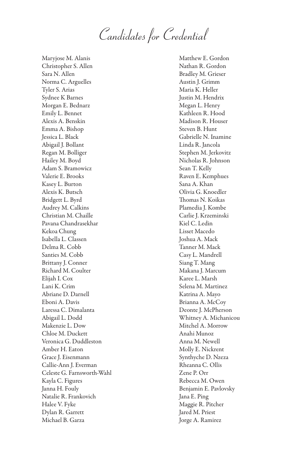*Candidates for Credential*

Maryjose M. Alanis Christopher S. Allen Sara N. Allen Norma C. Arguelles Tyler S. Arias Sydnee K Barnes Morgan E. Bednarz Emily L. Bennet Alexis A. Benskin Emma A. Bishop Jessica L. Black Abigail J. Bollant Regan M. Bolliger Hailey M. Boyd Adam S. Bramowicz Valerie E. Brooks Kasey L. Burton Alexis K. Butsch Bridgett L. Byrd Audrey M. Calkins Christian M. Chaille Pavana Chandrasekhar Kekoa Chung Isabella L. Classen Delma R. Cobb Santies M. Cobb Brittany J. Conner Richard M. Coulter Elijah I. Cox Lani K. Crim Abriane D. Darnell Eboni A. Davis Laressa C. Dimalanta Abigail L. Dodd Makenzie L. Dow Chloe M. Duckett Veronica G. Duddleston Amber H. Eaton Grace J. Eisenmann Callie-Ann J. Everman Celeste G. Farnsworth-Wahl Kayla C. Figures Janna H. Fouly Natalie R. Frankovich Halee V. Fyke Dylan R. Garrett Michael B. Garza

Matthew E. Gordon Nathan R. Gordon Bradley M. Grieser Austin J. Grimm Maria K. Heller Justin M. Hendrix Megan L. Henry Kathleen R. Hood Madison R. Houser Steven B. Hunt Gabrielle N. Inamine Linda R. Jancola Stephen M. Jerkovitz Nicholas R. Johnson Sean T. Kelly Raven E. Kemphues Sana A. Khan Olivia G. Knoedler Thomas N. Koikas Plamedia J. Kombe Carlie J. Krzeminski Kiel C. Ledin Lisset Macedo Joshua A. Mack Tanner M. Mack Casy L. Mandrell Siang T. Mang Makana J. Marcum Karee L. Marsh Selena M. Martinez Katrina A. Mayo Brianna A. McCoy Deonte J. McPherson Whitney A. Michanicou Mitchel A. Morrow Anahi Munoz Anna M. Newell Molly E. Nickrent Synthyche D. Nzeza Rheanna C. Ollis Zene P. Orr Rebecca M. Owen Benjamin E. Pavlovsky Jana E. Ping Maggie R. Pitcher Jared M. Priest Jorge A. Ramirez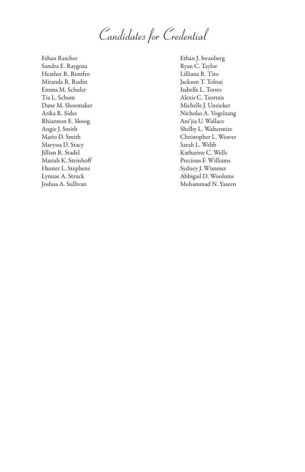*Candidates for Credential*

Ethan Rascher Sandra E. Raygoza Heather R. Rentfro Miranda R. Rudin Emma M. Schuler Tia L. Schum Dane M. Shoemaker Arika R. Sides Rhiannon E. Skoog Angie J. Smith Mario D. Smith Maryssa D. Stacy Jillian R. Stadel Mariah K. Steinhoff Hunter L. Stephens Lynnae A. Struck Joshua A. Sullivan

Ethan J. Swanberg Ryan C. Taylor Lilliana R. Tito Jackson T. Tolnai Isabelle L. Torres Alexis C. Tzortzis Michelle J. Unzicker Nicholas A. Vogelzang Ani'jia U. Wallace Shelby L. Waltermire Christopher L. Weaver Sarah L. Webb Katharine C. Wells Precious F. Williams Sydney J. Wimmer Abbigail D. Woolums Mohammad N. Yaseen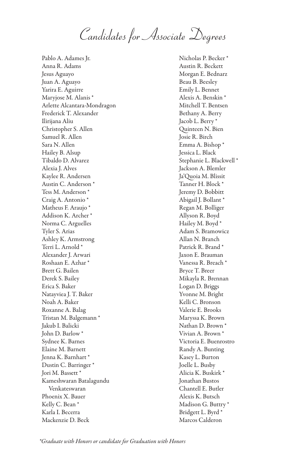*Candidates for Associate Degrees*

Pablo A. Adames Jr. Anna R. Adams Jesus Aguayo Juan A. Aguayo Yarira E. Aguirre Maryjose M. Alanis \* Arlette Alcantara-Mondragon Frederick T. Alexander Ilirijana Aliu Christopher S. Allen Samuel R. Allen Sara N. Allen Hailey B. Alsup Tibaldo D. Alvarez Alexia J. Alves Kaylee R. Andersen Austin C. Anderson \* Tess M. Anderson \* Craig A. Antonio \* Matheus F. Araujo \* Addison K. Archer \* Norma C. Arguelles Tyler S. Arias Ashley K. Armstrong Terri L. Arnold \* Alexander J. Arwari Roshaan E. Azhar \* Brett G. Bailen Derek S. Bailey Erica S. Baker Natayviea J. T. Baker Noah A. Baker Roxanne A. Balag Tristan M. Balgemann \* Jakub I. Balicki John D. Barlow \* Sydnee K. Barnes Elaine M. Barnett Jenna K. Barnhart \* Dustin C. Barringer \* Jori M. Bassett \* Kameshwaran Batalagundu Venkateswaran Phoenix X. Bauer Kelly C. Bean \* Karla I. Becerra Mackenzie D. Beck

Nicholas P. Becker \* Austin R. Beckett Morgan E. Bednarz Beau B. Beesley Emily L. Bennet Alexis A. Benskin \* Mitchell T. Bentsen Bethany A. Berry Jacob L. Berry \* Quinteen N. Bien Josie R. Birch Emma A. Bishop \* Jessica L. Black Stephanie L. Blackwell \* Jackson A. Blemler Ja'Quoia M. Blissit Tanner H. Block \* Jeremy D. Bobbitt Abigail J. Bollant \* Regan M. Bolliger Allyson R. Boyd Hailey M. Boyd \* Adam S. Bramowicz Allan N. Branch Patrick R. Brand \* Jaxon E. Brauman Vanessa R. Breach \* Bryce T. Breer Mikayla R. Brennan Logan D. Briggs Yvonne M. Bright Kelli C. Bronson Valerie E. Brooks Maryssa K. Brown Nathan D. Brown \* Vivian A. Brown \* Victoria E. Buenrostro Randy A. Bunting Kasey L. Burton Joelle L. Busby Alicia K. Buskirk \* Jonathan Bustos Chantell E. Butler Alexis K. Butsch Madison G. Buttry \* Bridgett L. Byrd \* Marcos Calderon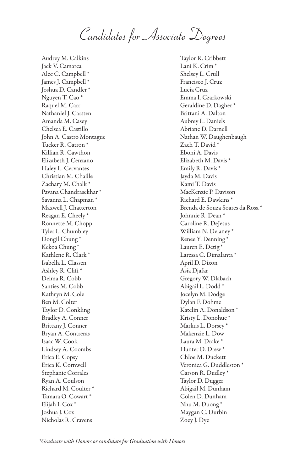*Candidates for Associate Degrees*

Audrey M. Calkins Jack V. Camarca Alec C. Campbell \* James J. Campbell \* Joshua D. Candler \* Nguyen T. Cao \* Raquel M. Carr Nathaniel J. Carsten Amanda M. Casey Chelsea E. Castillo John A. Castro Montague Tucker R. Catron \* Killian R. Cawthon Elizabeth J. Cenzano Haley L. Cervantes Christian M. Chaille Zachary M. Chalk \* Pavana Chandrasekhar \* Savanna L. Chapman \* Maxwell J. Chatterton Reagan E. Cheely \* Ronnette M. Chopp Tyler L. Chumbley Dongil Chung \* Kekoa Chung \* Kathlene R. Clark \* Isabella L. Classen Ashley R. Clift \* Delma R. Cobb Santies M. Cobb Kathryn M. Cole Ben M. Colter Taylor D. Conkling Bradley A. Conner Brittany J. Conner Bryan A. Contreras Isaac W. Cook Lindsey A. Coombs Erica E. Copsy Erica K. Cornwell Stephanie Corrales Ryan A. Coulson Richard M. Coulter \* Tamara O. Cowart \* Elijah I. Cox \* Joshua J. Cox Nicholas R. Cravens

Taylor R. Cribbett Lani K. Crim \* Shelsey L. Crull Francisco J. Cruz Lucia Cruz Emma I. Czarkowski Geraldine D. Dagher \* Brittani A. Dalton Aubrey L. Daniels Abriane D. Darnell Nathan W. Daughenbaugh Zach T. David \* Eboni A. Davis Elizabeth M. Davis \* Emily R. Davis \* Jayda M. Davis Kami T. Davis MacKenzie P. Davison Richard E. Dawkins \* Brenda de Souza Soares da Rosa \* Johnnie R. Dean \* Caroline R. DeJesus William N. Delaney \* Renee Y. Denning \* Lauren E. Detig \* Laressa C. Dimalanta \* April D. Dixon Asia Djafar Gregory W. Dlabach Abigail L. Dodd \* Jocelyn M. Dodge Dylan F. Dohme Katelin A. Donaldson \* Kristy L. Donohue \* Markus L. Dorsey \* Makenzie L. Dow Laura M. Drake \* Hunter D. Drew \* Chloe M. Duckett Veronica G. Duddleston \* Carson R. Dudley \* Taylor D. Dugger Abigail M. Dunham Colen D. Dunham Nhu M. Duong \* Maygan C. Durbin Zoey J. Dye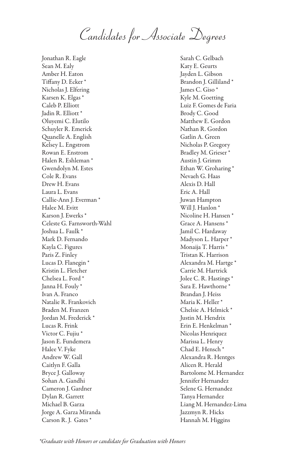*Candidates for Associate Degrees*

Jonathan R. Eagle Sean M. Ealy Amber H. Eaton Tiffany D. Ecker \* Nicholas J. Elfering Karsen K. Elgas \* Caleb P. Elliott Jadin R. Elliott \* Oluyemi C. Elutilo Schuyler R. Emerick Quanelle A. English Kelsey L. Engstrom Rowan E. Enstrom Halen R. Eshleman \* Gwendolyn M. Estes Cole R. Evans Drew H. Evans Laura L. Evans Callie-Ann J. Everman \* Halee M. Evitt Karson J. Ewerks \* Celeste G. Farnsworth-Wahl Joshua L. Faulk \* Mark D. Fernando Kayla C. Figures Paris Z. Finley Lucas D. Flanegin \* Kristin L. Fletcher Chelsea L. Ford \* Janna H. Fouly \* Ivan A. Franco Natalie R. Frankovich Braden M. Franzen Jordan M. Frederick \* Lucas R. Frink Victor C. Fujiu \* Jason E. Fundemera Halee V. Fyke Andrew W. Gall Caitlyn F. Galla Bryce J. Galloway Sohan A. Gandhi Cameron J. Gardner Dylan R. Garrett Michael B. Garza Jorge A. Garza Miranda Carson R. J. Gates \*

Sarah C. Gelbach Katy E. Geurts Jayden L. Gibson Brandon J. Gilliland \* James C. Giso \* Kyle M. Goetting Luiz F. Gomes de Faria Brody C. Good Matthew E. Gordon Nathan R. Gordon Gatlin A. Green Nicholas P. Gregory Bradley M. Grieser \* Austin J. Grimm Ethan W. Groharing \* Nevaeh G. Haas Alexis D. Hall Eric A. Hall Juwan Hampton Will J. Hanlon<sup>\*</sup> Nicoline H. Hansen \* Grace A. Hansens \* Jamil C. Hardaway Madyson L. Harper \* Monaija T. Harris \* Tristan K. Harrison Alexandra M. Hartge \* Carrie M. Hartrick Jolee C. R. Hastings \* Sara E. Hawthorne \* Brandan J. Heiss Maria K. Heller \* Chelsie A. Helmick \* Justin M. Hendrix Erin E. Henkelman \* Nicolas Henriquez Marissa L. Henry Chad E. Hensch \* Alexandra R. Hentges Alicen R. Herald Bartolome M. Hernandez Jennifer Hernandez Selene G. Hernandez Tanya Hernandez Liang M. Hernandez-Lima Jazzmyn R. Hicks Hannah M. Higgins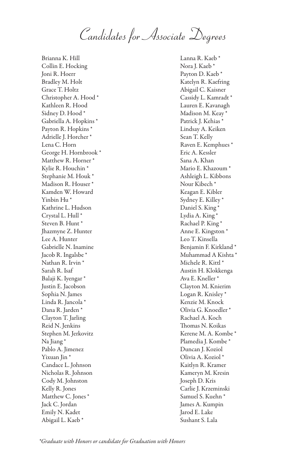*Candidates for Associate Degrees*

Brianna K. Hill Collin E. Hocking Joni R. Hoerr Bradley M. Holt Grace T. Holtz Christopher A. Hood \* Kathleen R. Hood Sidney D. Hood \* Gabriella A. Hopkins \* Payton R. Hopkins \* Adrielle J. Horcher \* Lena C. Horn George H. Hornbrook \* Matthew R. Horner \* Kylie R. Houchin \* Stephanie M. Houk \* Madison R. Houser \* Kamden W. Howard Yinbin Hu \* Kathrine L. Hudson Crystal L. Hull \* Steven B. Hunt \* Jhazmyne Z. Hunter Lee A. Hunter Gabrielle N. Inamine Jacob R. Ingalsbe \* Nathan R. Irvin \* Sarah R. Isaf Balaji K. Iyengar \* Justin E. Jacobson Sophia N. James Linda R. Jancola \* Dana R. Jarden \* Clayton T. Jarling Reid N. Jenkins Stephen M. Jerkovitz Na Jiang \* Pablo A. Jimenez Yixuan Jin \* Candace L. Johnson Nicholas R. Johnson Cody M. Johnston Kelly R. Jones Matthew C. Jones \* Jack C. Jordan Emily N. Kadet Abigail L. Kaeb \*

Lanna R. Kaeb \* Nora J. Kaeb \* Payton D. Kaeb \* Katelyn R. Kaefring Abigail C. Kaisner Cassidy L. Kamradt \* Lauren E. Kavanagh Madison M. Keay \* Patrick J. Kehias \* Lindsay A. Keiken Sean T. Kelly Raven E. Kemphues \* Eric A. Kessler Sana A. Khan Mario E. Khazoum \* Ashleigh L. Kibbons Nour Kibech \* Keagan E. Kibler Sydney E. Killey \* Daniel S. King \* Lydia A. King \* Rachael P. King \* Anne E. Kingston \* Leo T. Kinsella Benjamin F. Kirkland \* Muhammad A Kishta \* Michele R. Kittl \* Austin H. Klokkenga Ava E. Kneller \* Clayton M. Knierim Logan R. Knisley \* Kenzie M. Knock Olivia G. Knoedler \* Rachael A. Koch Thomas N. Koikas Kerene M. A. Kombe \* Plamedia J. Kombe \* Duncan J. Koziol Olivia A. Koziol \* Kaitlyn R. Kramer Kameryn M. Kresin Joseph D. Kris Carlie J. Krzeminski Samuel S. Kuehn \* James A. Kumpin Jarod E. Lake Sushant S. Lala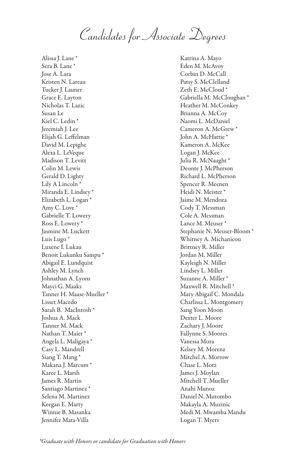*Candidates for Associate Degrees*

Alissa J. Lane \* Sera B. Lane \* Jose A. Lara Kristen N. Lareau Tucker J. Launer Grace E. Layton Nicholas T. Lazic Susan Le Kiel C. Ledin \* Jeremiah J. Lee Elijah G. Leffelman David M. Lepighe Alexa L. LeVeque Madison T. Levitt Colin M. Lewis Gerald D. Lighty Lily A Lincoln \* Miranda E. Lindsey \* Elizabeth L. Logan \* Amy C. Love \* Gabrielle T. Lowery Ross E. Lowery \* Jasmine M. Luckett Luis Lugo \* Luxene I. Lukau Benoit Lukunku Sampu \* Abigail E. Lundquist Ashley M. Lynch Johnathan A. Lyons Mayci G. Maaks Tanner H. Maase-Mueller \* Lisset Macedo Sarah B. MacIntosh \* Joshua A. Mack Tanner M. Mack Nathan T. Maier \* Angela L. Maligaya \* Casy L. Mandrell Siang T. Mang \* Makana J. Marcum<sup>\*</sup> Karee L. Marsh James R. Martin Santiago Martinez \* Selena M. Martinez Keegan E. Marty Winnie B. Masanka Jennifer Mata-Villa

Katrina A. Mayo Eden M. McAvoy Corbin D. McCall Patsy S. McClelland Zeth E. McCloud \* Gabriella M. McCloughan \* Heather M. McConkey Brianna A. McCoy Naomi L. McDaniel Cameron A. McGrew \* John A. McHattie \* Kameron A. McKee Logan J. McKee Julia R. McNaught \* Deonte J. McPherson Richard L. McPherson Spencer R. Meenen Heidi N. Meister \* Jaime M. Mendoza Cody T. Messman Cole A. Messman Lance M. Meuser \* Stephanie N. Meuser-Bloom \* Whitney A. Michanicou Brittney R. Miller Jordan M. Miller Kayleigh N. Miller Lindsey L. Miller Suzanne A. Miller \* Maxwell R. Mitchell \* Mary Abigail C. Mondala Charlissa L. Montgomery Sang Yoon Moon Dexter L. Moore Zachary J. Moore Fallynne S. Moores Vanessa Mora Kelsey M. Morenz Mitchel A. Morrow Chase L. Motz James J. Moylan Mitchell T. Mueller Anahi Munoz Daniel N. Mutombo Makayla A. Muzinic Medi M. Mwamba Mandu Logan T. Myers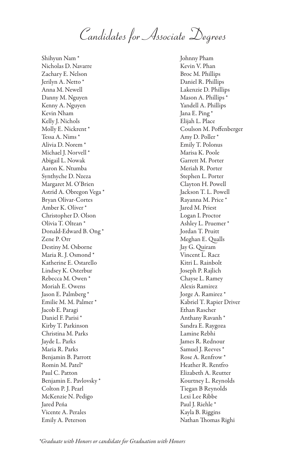*Candidates for Associate Degrees*

Shihyun Nam \* Nicholas D. Navarre Zachary E. Nelson Jerilyn A. Netto \* Anna M. Newell Danny M. Nguyen Kenny A. Nguyen Kevin Nham Kelly J. Nichols Molly E. Nickrent \* Tessa A. Nims \* Alivia D. Norem \* Michael J. Norvell<sup>\*</sup> Abigail L. Nowak Aaron K. Ntumba Synthyche D. Nzeza Margaret M. O'Brien Astrid A. Obregon Vega \* Bryan Olivar-Cortes Amber K. Oliver \* Christopher D. Olson Olivia T. Oltean \* Donald-Edward B. Ong \* Zene P. Orr Destiny M. Osborne Maria R. J. Osmond \* Katherine E. Ostarello Lindsey K. Osterbur Rebecca M. Owen \* Moriah E. Owens Jason E. Palmberg \* Emilie M. M. Palmer \* Jacob E. Paragi Daniel F. Parisi \* Kirby T. Parkinson Christina M. Parks Jayde L. Parks Maria R. Parks Benjamin B. Parrott Romin M. Patel\* Paul C. Patton Benjamin E. Pavlovsky \* Colton P. J. Pearl McKenzie N. Pedigo Jared Peńa Vicente A. Perales Emily A. Peterson

Johnny Pham Kevin V. Phan Broc M. Phillips Daniel R. Phillips Lakenzie D. Phillips Mason A. Phillips \* Yandell A. Phillips Jana E. Ping \* Elijah L. Place Coulson M. Poffenberger Amy D. Poller \* Emily T. Polonus Marisa K. Poole Garrett M. Porter Meriah R. Porter Stephen L. Porter Clayton H. Powell Jackson T. L. Powell Rayanna M. Price \* Jared M. Priest Logan I. Proctor Ashley L. Pruemer \* Jordan T. Pruitt Meghan E. Qualls Jay G. Quiram Vincent L. Racz Kitri L. Rainbolt Joseph P. Rajlich Chayse L. Ramey Alexis Ramirez Jorge A. Ramirez \* Kabriel T. Rapier Driver Ethan Rascher Anthany Ravanh \* Sandra E. Raygoza Lamine Rebhi James R. Rednour Samuel J. Reeves<sup>\*</sup> Rose A. Renfrow \* Heather R. Rentfro Elizabeth A. Reutter Kourtney L. Reynolds Tiegan B Reynolds Lexi Lee Ribbe Paul J. Riehle \* Kayla B. Riggins Nathan Thomas Righi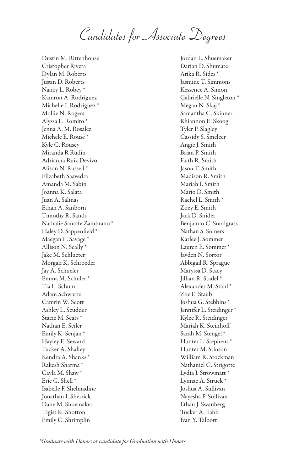*Candidates for Associate Degrees*

Dustin M. Rittenhouse Cristopher Rivera Dylan M. Roberts Justin D. Roberts Nancy L. Robey \* Kamron A. Rodriguez Michelle I. Rodriguez \* Mollie N. Rogers Alyssa L. Romito \* Jenna A. M. Rosalez Michele E. Rouse \* Kyle C. Rousey Miranda R Rudin Adrianna Ruiz Devivo Alison N. Russell \* Elizabeth Saavedra Amanda M. Sabin Joanna K. Salata Juan A. Salinas Ethan A. Sanborn Timothy R. Sands Nathalie Santafe Zambrano \* Haley D. Sappenfield \* Maegan L. Savage \* Allison N. Scally \* Jake M. Schlueter Morgan K. Schroeder Jay A. Schueler Emma M. Schuler \* Tia L. Schum Adam Schwartz Camrin W. Scott Ashley L. Scudder Stacie M. Sears \* Nathan E. Seiler Emily K. Senjan \* Hayley E. Seward Tucker A. Shalley Kendra A. Shanks \* Rakesh Sharma \* Cayla M. Shaw \* Eric G. Shell \* Isabelle F. Shelmadine Jonathan I. Sherrick Dane M. Shoemaker Tigist K. Shotton Emily C. Shrimplin

Jordan L. Shuemaker Darian D. Shumate Arika R. Sides \* Jasmine T. Simmons Kessence A. Simon Gabrielle N. Singleton \* Megan N. Skaj \* Samantha C. Skinner Rhiannon E. Skoog Tyler P. Slagley Cassidy S. Smelcer Angie J. Smith Brian P. Smith Faith R. Smith Jason T. Smith Madison R. Smith Mariah I. Smith Mario D. Smith Rachel L. Smith \* Zoey E. Smith Jack D. Snider Benjamin C. Snodgrass Nathan S. Somers Karlee J. Sommer Lauren E. Sommer \* Jayden N. Sortor Abbigail R. Sprague Maryssa D. Stacy Jillian R. Stadel \* Alexander M. Stahl \* Zoe E. Staub Joshua G. Stebbins \* Jennifer L. Steidinger \* Kylee R. Steidinger Mariah K. Steinhoff Sarah M. Stengel \* Hunter L. Stephens \* Hunter M. Stinson William R. Stockman Nathaniel C. Strigotte Lydia J. Strowmatt<sup>\*</sup> Lynnae A. Struck \* Joshua A. Sullivan Nayesha P. Sullivan Ethan J. Swanberg Tucker A. Tabb Ivan Y. Talbott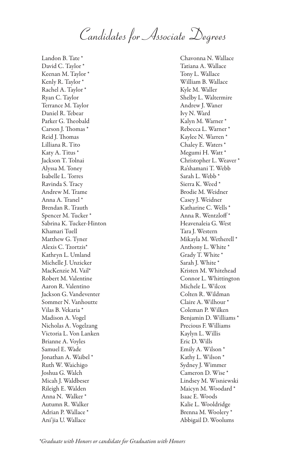*Candidates for Associate Degrees*

Landon B. Tate \* David C. Taylor \* Keenan M. Taylor \* Kenly R. Taylor ' Rachel A. Taylor \* Ryan C. Taylor Terrance M. Taylor Daniel R. Tebear Parker G. Theobald Carson J. Thomas \* Reid J. Thomas Lilliana R. Tito Katy A. Titus \* Jackson T. Tolnai Alyssa M. Toney Isabelle L. Torres Ravinda S. Tracy Andrew M. Trame Anna A. Tranel \* Brendan R. Trauth Spencer M. Tucker \* Sabrina K. Tucker-Hinton Khamari Tuell Matthew G. Tyner Alexis C. Tzortzis\* Kathryn L. Umland Michelle J. Unzicker MacKenzie M. Vail\* Robert M. Valentine Aaron R. Valentino Jackson G. Vandeventer Sommer N. Vanhoutte Vilas B. Vekaria \* Madison A. Vogel Nicholas A. Vogelzang Victoria L. Von Lanken Brianne A. Voyles Samuel E. Wade Jonathan A. Waibel \* Ruth W. Waichigo Joshua G. Walch Micah J. Waldbeser Rileigh E. Walden Anna N. Walker \* Autumn R. Walker Adrian P. Wallace \* Ani'jia U. Wallace

Chavonna N. Wallace Tatiana A. Wallace Tony L. Wallace William B. Wallace Kyle M. Waller Shelby L. Waltermire Andrew J. Waner Ivy N. Ward Kalyn M. Warner \* Rebecca L. Warner \* Kaylee N. Warren \* Chaley E. Waters \* Megumi H. Watt \* Christopher L. Weaver \* Ra'shamani T. Webb Sarah L. Webb \* Sierra K. Weed \* Brodie M. Weidner Casey J. Weidner Katharine C. Wells \* Anna R. Wentzloff \* Heavenaleia G. West Tara J. Western Mikayla M. Wetherell \* Anthony L. White \* Grady T. White \* Sarah J. White \* Kristen M. Whitehead Connor L. Whittington Michele L. Wilcox Colten R. Wildman Claire A. Wilhour \* Coleman P. Wilken Benjamin D. Williams \* Precious F. Williams Kaylyn L. Willis Eric D. Wills Emily A. Wilson \* Kathy L. Wilson \* Sydney J. Wimmer Cameron D. Wise \* Lindsey M. Wisniewski Maicyn M. Woodard \* Isaac E. Woods Kalie L. Wooldridge Brenna M. Woolery \* Abbigail D. Woolums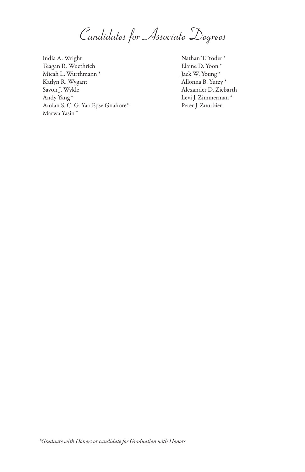*Candidates for Associate Degrees*

India A. Wright Teagan R. Wuethrich Micah L. Wurthmann \* Katlyn R. Wygant Savon J. Wykle Andy Yang \* Amlan S. C. G. Yao Epse Gnahore\* Marwa Yasin \*

Nathan T. Yoder \* Elaine D. Yoon \* Jack W. Young \* Allonna B. Yutzy \* Alexander D. Ziebarth Levi J. Zimmerman \* Peter J. Zuurbier